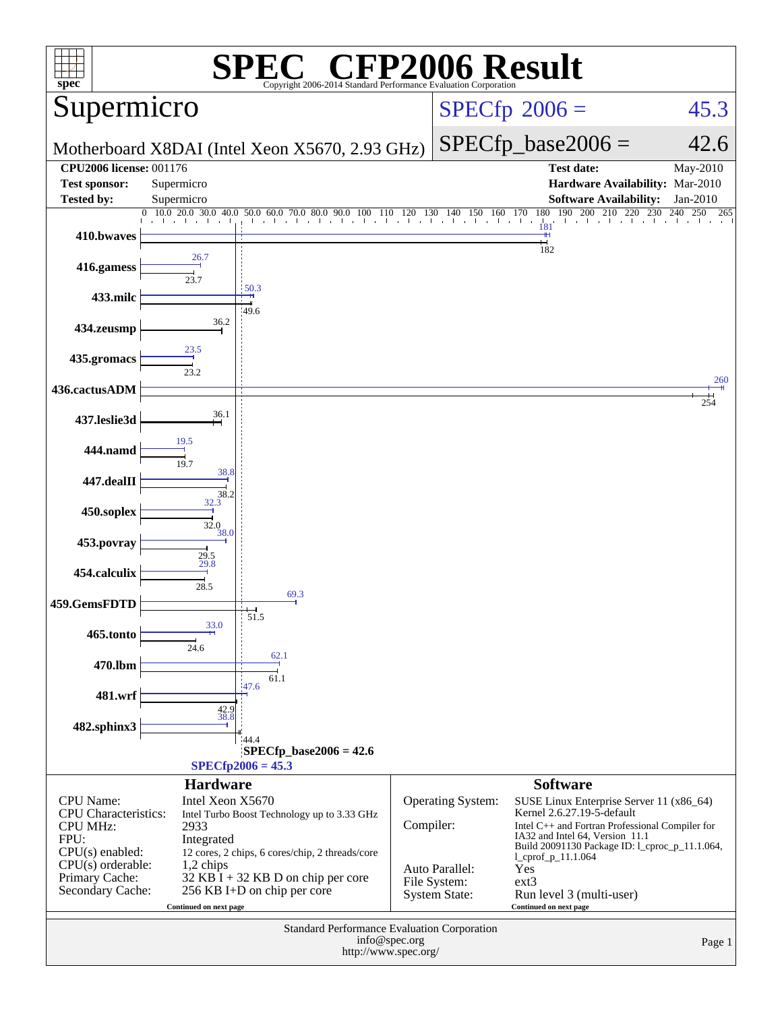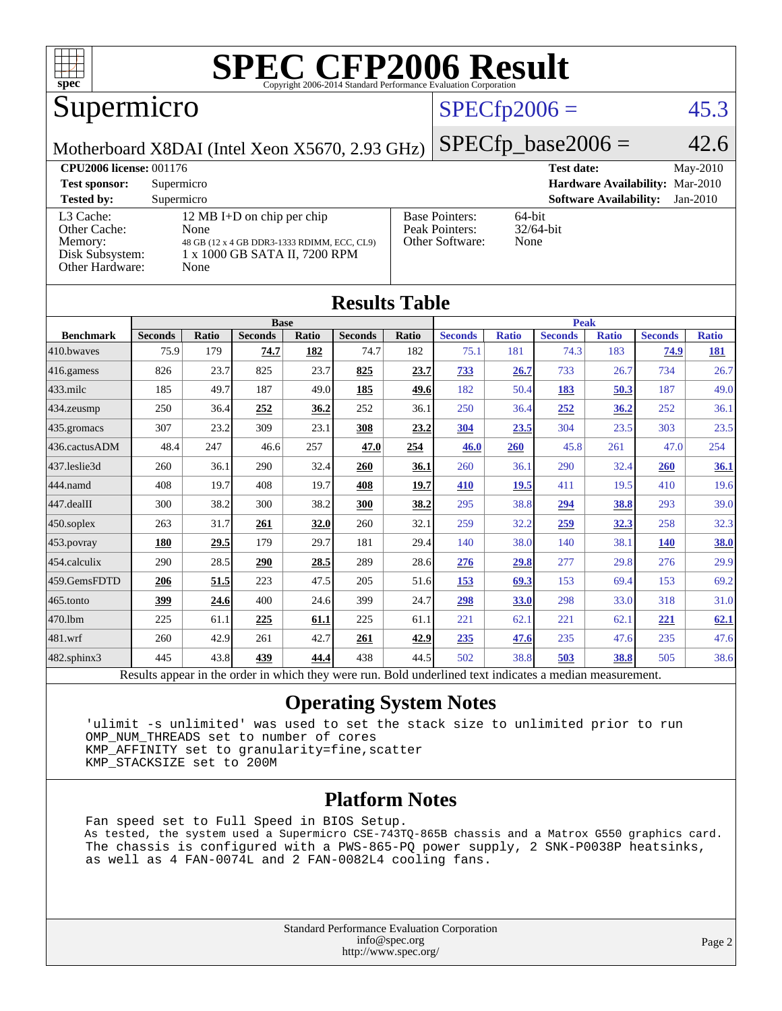

### Supermicro

#### $SPECfp2006 = 45.3$  $SPECfp2006 = 45.3$

Motherboard X8DAI (Intel Xeon X5670, 2.93 GHz)

 $SPECTp\_base2006 = 42.6$ 

| <b>CPU2006 license: 001176</b>                                             |                                                                                                                            |                                                            | <b>Test date:</b><br>May-2010               |
|----------------------------------------------------------------------------|----------------------------------------------------------------------------------------------------------------------------|------------------------------------------------------------|---------------------------------------------|
| <b>Test sponsor:</b>                                                       | Supermicro                                                                                                                 |                                                            | Hardware Availability: Mar-2010             |
| <b>Tested by:</b>                                                          | Supermicro                                                                                                                 |                                                            | <b>Software Availability:</b><br>$Jan-2010$ |
| L3 Cache:<br>Other Cache:<br>Memory:<br>Disk Subsystem:<br>Other Hardware: | 12 MB I+D on chip per chip<br>None<br>48 GB (12 x 4 GB DDR3-1333 RDIMM, ECC, CL9)<br>1 x 1000 GB SATA II, 7200 RPM<br>None | <b>Base Pointers:</b><br>Peak Pointers:<br>Other Software: | $64$ -bit<br>$32/64$ -bit<br>None           |

**[Results Table](http://www.spec.org/auto/cpu2006/Docs/result-fields.html#ResultsTable)**

| Results Table    |                                                                                                          |              |                |       |                |       |                |              |                |              |                |              |
|------------------|----------------------------------------------------------------------------------------------------------|--------------|----------------|-------|----------------|-------|----------------|--------------|----------------|--------------|----------------|--------------|
|                  |                                                                                                          |              | <b>Base</b>    |       |                |       | <b>Peak</b>    |              |                |              |                |              |
| <b>Benchmark</b> | <b>Seconds</b>                                                                                           | <b>Ratio</b> | <b>Seconds</b> | Ratio | <b>Seconds</b> | Ratio | <b>Seconds</b> | <b>Ratio</b> | <b>Seconds</b> | <b>Ratio</b> | <b>Seconds</b> | <b>Ratio</b> |
| 410.bwaves       | 75.9                                                                                                     | 179          | 74.7           | 182   | 74.7           | 182   | 75.1           | 181          | 74.3           | 183          | 74.9           | <u>181</u>   |
| 416.gamess       | 826                                                                                                      | 23.7         | 825            | 23.7  | 825            | 23.7  | 733            | 26.7         | 733            | 26.7         | 734            | 26.7         |
| $433$ .milc      | 185                                                                                                      | 49.7         | 187            | 49.0  | 185            | 49.6  | 182            | 50.4         | 183            | 50.3         | 187            | 49.0         |
| 434.zeusmp       | 250                                                                                                      | 36.4         | 252            | 36.2  | 252            | 36.1  | 250            | 36.4         | 252            | 36.2         | 252            | 36.1         |
| 435.gromacs      | 307                                                                                                      | 23.2         | 309            | 23.1  | 308            | 23.2  | 304            | 23.5         | 304            | 23.5         | 303            | 23.5         |
| 436.cactusADM    | 48.4                                                                                                     | 247          | 46.6           | 257   | 47.0           | 254   | 46.0           | <b>260</b>   | 45.8           | 261          | 47.0           | 254          |
| 437.leslie3d     | 260                                                                                                      | 36.1         | 290            | 32.4  | 260            | 36.1  | 260            | 36.1         | 290            | 32.4         | <b>260</b>     | 36.1         |
| 444.namd         | 408                                                                                                      | 19.7         | 408            | 19.7  | 408            | 19.7  | 410            | 19.5         | 411            | 19.5         | 410            | 19.6         |
| 447.dealII       | 300                                                                                                      | 38.2         | 300            | 38.2  | 300            | 38.2  | 295            | 38.8         | 294            | 38.8         | 293            | 39.0         |
| 450.soplex       | 263                                                                                                      | 31.7         | 261            | 32.0  | 260            | 32.1  | 259            | 32.2         | 259            | 32.3         | 258            | 32.3         |
| 453.povray       | 180                                                                                                      | 29.5         | 179            | 29.7  | 181            | 29.4  | 140            | 38.0         | 140            | 38.1         | <b>140</b>     | <b>38.0</b>  |
| 454.calculix     | 290                                                                                                      | 28.5         | 290            | 28.5  | 289            | 28.6  | 276            | 29.8         | 277            | 29.8         | 276            | 29.9         |
| 459.GemsFDTD     | 206                                                                                                      | 51.5         | 223            | 47.5  | 205            | 51.6  | 153            | 69.3         | 153            | 69.4         | 153            | 69.2         |
| $465$ .tonto     | 399                                                                                                      | 24.6         | 400            | 24.6  | 399            | 24.7  | <u>298</u>     | 33.0         | 298            | 33.0         | 318            | 31.0         |
| 470.1bm          | 225                                                                                                      | 61.1         | 225            | 61.1  | 225            | 61.1  | 221            | 62.1         | 221            | 62.1         | 221            | 62.1         |
| 481.wrf          | 260                                                                                                      | 42.9         | 261            | 42.7  | 261            | 42.9  | 235            | 47.6         | 235            | 47.6         | 235            | 47.6         |
| 482.sphinx3      | 445                                                                                                      | 43.8         | 439            | 44.4  | 438            | 44.5  | 502            | 38.8         | 503            | 38.8         | 505            | 38.6         |
|                  | Results appear in the order in which they were run. Bold underlined text indicates a median measurement. |              |                |       |                |       |                |              |                |              |                |              |

#### **[Operating System Notes](http://www.spec.org/auto/cpu2006/Docs/result-fields.html#OperatingSystemNotes)**

 'ulimit -s unlimited' was used to set the stack size to unlimited prior to run OMP\_NUM\_THREADS set to number of cores KMP\_AFFINITY set to granularity=fine,scatter KMP\_STACKSIZE set to 200M

#### **[Platform Notes](http://www.spec.org/auto/cpu2006/Docs/result-fields.html#PlatformNotes)**

 Fan speed set to Full Speed in BIOS Setup. As tested, the system used a Supermicro CSE-743TQ-865B chassis and a Matrox G550 graphics card. The chassis is configured with a PWS-865-PQ power supply, 2 SNK-P0038P heatsinks, as well as 4 FAN-0074L and 2 FAN-0082L4 cooling fans.

> Standard Performance Evaluation Corporation [info@spec.org](mailto:info@spec.org) <http://www.spec.org/>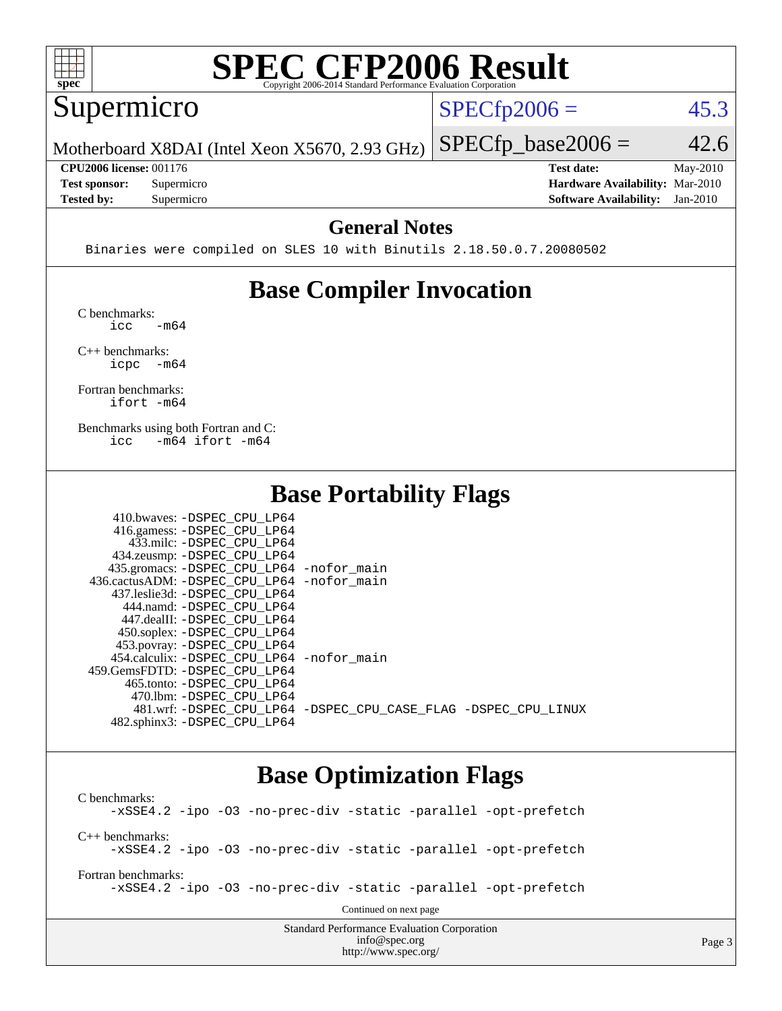

#### Supermicro

 $SPECTp2006 = 45.3$ 

 $SPECTp\_base2006 = 42.6$ 

Page 3

Motherboard X8DAI (Intel Xeon X5670, 2.93 GHz)

**[CPU2006 license:](http://www.spec.org/auto/cpu2006/Docs/result-fields.html#CPU2006license)** 001176 **[Test date:](http://www.spec.org/auto/cpu2006/Docs/result-fields.html#Testdate)** May-2010

**[Tested by:](http://www.spec.org/auto/cpu2006/Docs/result-fields.html#Testedby)** Supermicro **[Software Availability:](http://www.spec.org/auto/cpu2006/Docs/result-fields.html#SoftwareAvailability)** Jan-2010

**[Test sponsor:](http://www.spec.org/auto/cpu2006/Docs/result-fields.html#Testsponsor)** Supermicro **[Hardware Availability:](http://www.spec.org/auto/cpu2006/Docs/result-fields.html#HardwareAvailability)** Mar-2010

#### **[General Notes](http://www.spec.org/auto/cpu2006/Docs/result-fields.html#GeneralNotes)**

Binaries were compiled on SLES 10 with Binutils 2.18.50.0.7.20080502

### **[Base Compiler Invocation](http://www.spec.org/auto/cpu2006/Docs/result-fields.html#BaseCompilerInvocation)**

[C benchmarks](http://www.spec.org/auto/cpu2006/Docs/result-fields.html#Cbenchmarks):  $\text{icc}$   $-\text{m64}$ 

[C++ benchmarks:](http://www.spec.org/auto/cpu2006/Docs/result-fields.html#CXXbenchmarks) [icpc -m64](http://www.spec.org/cpu2006/results/res2010q3/cpu2006-20100528-11384.flags.html#user_CXXbase_intel_icpc_64bit_bedb90c1146cab66620883ef4f41a67e)

[Fortran benchmarks](http://www.spec.org/auto/cpu2006/Docs/result-fields.html#Fortranbenchmarks): [ifort -m64](http://www.spec.org/cpu2006/results/res2010q3/cpu2006-20100528-11384.flags.html#user_FCbase_intel_ifort_64bit_ee9d0fb25645d0210d97eb0527dcc06e)

[Benchmarks using both Fortran and C](http://www.spec.org/auto/cpu2006/Docs/result-fields.html#BenchmarksusingbothFortranandC): [icc -m64](http://www.spec.org/cpu2006/results/res2010q3/cpu2006-20100528-11384.flags.html#user_CC_FCbase_intel_icc_64bit_0b7121f5ab7cfabee23d88897260401c) [ifort -m64](http://www.spec.org/cpu2006/results/res2010q3/cpu2006-20100528-11384.flags.html#user_CC_FCbase_intel_ifort_64bit_ee9d0fb25645d0210d97eb0527dcc06e)

 $410.1$   $R_{\text{CDF}}$   $R_{\text{CDF}}$   $R_{\text{CDF}}$ 

#### **[Base Portability Flags](http://www.spec.org/auto/cpu2006/Docs/result-fields.html#BasePortabilityFlags)**

| 410.0Waves: -DSPEC CPU LP64                |                                                                |
|--------------------------------------------|----------------------------------------------------------------|
| 416.gamess: -DSPEC_CPU_LP64                |                                                                |
| 433.milc: -DSPEC CPU LP64                  |                                                                |
| 434.zeusmp: -DSPEC_CPU_LP64                |                                                                |
| 435.gromacs: -DSPEC_CPU_LP64 -nofor_main   |                                                                |
| 436.cactusADM: -DSPEC CPU LP64 -nofor main |                                                                |
| 437.leslie3d: -DSPEC CPU LP64              |                                                                |
| 444.namd: -DSPEC CPU LP64                  |                                                                |
| 447.dealII: -DSPEC CPU LP64                |                                                                |
| 450.soplex: -DSPEC_CPU_LP64                |                                                                |
| 453.povray: -DSPEC_CPU_LP64                |                                                                |
| 454.calculix: -DSPEC CPU LP64 -nofor main  |                                                                |
| 459. GemsFDTD: - DSPEC CPU LP64            |                                                                |
| 465.tonto: -DSPEC CPU LP64                 |                                                                |
| 470.1bm: - DSPEC CPU LP64                  |                                                                |
|                                            | 481.wrf: -DSPEC CPU LP64 -DSPEC CPU CASE FLAG -DSPEC CPU LINUX |
| 482.sphinx3: -DSPEC CPU LP64               |                                                                |
|                                            |                                                                |

#### **[Base Optimization Flags](http://www.spec.org/auto/cpu2006/Docs/result-fields.html#BaseOptimizationFlags)**

[info@spec.org](mailto:info@spec.org) <http://www.spec.org/>

Standard Performance Evaluation Corporation [C benchmarks](http://www.spec.org/auto/cpu2006/Docs/result-fields.html#Cbenchmarks): [-xSSE4.2](http://www.spec.org/cpu2006/results/res2010q3/cpu2006-20100528-11384.flags.html#user_CCbase_f-xSSE42_f91528193cf0b216347adb8b939d4107) [-ipo](http://www.spec.org/cpu2006/results/res2010q3/cpu2006-20100528-11384.flags.html#user_CCbase_f-ipo) [-O3](http://www.spec.org/cpu2006/results/res2010q3/cpu2006-20100528-11384.flags.html#user_CCbase_f-O3) [-no-prec-div](http://www.spec.org/cpu2006/results/res2010q3/cpu2006-20100528-11384.flags.html#user_CCbase_f-no-prec-div) [-static](http://www.spec.org/cpu2006/results/res2010q3/cpu2006-20100528-11384.flags.html#user_CCbase_f-static) [-parallel](http://www.spec.org/cpu2006/results/res2010q3/cpu2006-20100528-11384.flags.html#user_CCbase_f-parallel) [-opt-prefetch](http://www.spec.org/cpu2006/results/res2010q3/cpu2006-20100528-11384.flags.html#user_CCbase_f-opt-prefetch) [C++ benchmarks:](http://www.spec.org/auto/cpu2006/Docs/result-fields.html#CXXbenchmarks) [-xSSE4.2](http://www.spec.org/cpu2006/results/res2010q3/cpu2006-20100528-11384.flags.html#user_CXXbase_f-xSSE42_f91528193cf0b216347adb8b939d4107) [-ipo](http://www.spec.org/cpu2006/results/res2010q3/cpu2006-20100528-11384.flags.html#user_CXXbase_f-ipo) [-O3](http://www.spec.org/cpu2006/results/res2010q3/cpu2006-20100528-11384.flags.html#user_CXXbase_f-O3) [-no-prec-div](http://www.spec.org/cpu2006/results/res2010q3/cpu2006-20100528-11384.flags.html#user_CXXbase_f-no-prec-div) [-static](http://www.spec.org/cpu2006/results/res2010q3/cpu2006-20100528-11384.flags.html#user_CXXbase_f-static) [-parallel](http://www.spec.org/cpu2006/results/res2010q3/cpu2006-20100528-11384.flags.html#user_CXXbase_f-parallel) [-opt-prefetch](http://www.spec.org/cpu2006/results/res2010q3/cpu2006-20100528-11384.flags.html#user_CXXbase_f-opt-prefetch) [Fortran benchmarks](http://www.spec.org/auto/cpu2006/Docs/result-fields.html#Fortranbenchmarks): [-xSSE4.2](http://www.spec.org/cpu2006/results/res2010q3/cpu2006-20100528-11384.flags.html#user_FCbase_f-xSSE42_f91528193cf0b216347adb8b939d4107) [-ipo](http://www.spec.org/cpu2006/results/res2010q3/cpu2006-20100528-11384.flags.html#user_FCbase_f-ipo) [-O3](http://www.spec.org/cpu2006/results/res2010q3/cpu2006-20100528-11384.flags.html#user_FCbase_f-O3) [-no-prec-div](http://www.spec.org/cpu2006/results/res2010q3/cpu2006-20100528-11384.flags.html#user_FCbase_f-no-prec-div) [-static](http://www.spec.org/cpu2006/results/res2010q3/cpu2006-20100528-11384.flags.html#user_FCbase_f-static) [-parallel](http://www.spec.org/cpu2006/results/res2010q3/cpu2006-20100528-11384.flags.html#user_FCbase_f-parallel) [-opt-prefetch](http://www.spec.org/cpu2006/results/res2010q3/cpu2006-20100528-11384.flags.html#user_FCbase_f-opt-prefetch) Continued on next page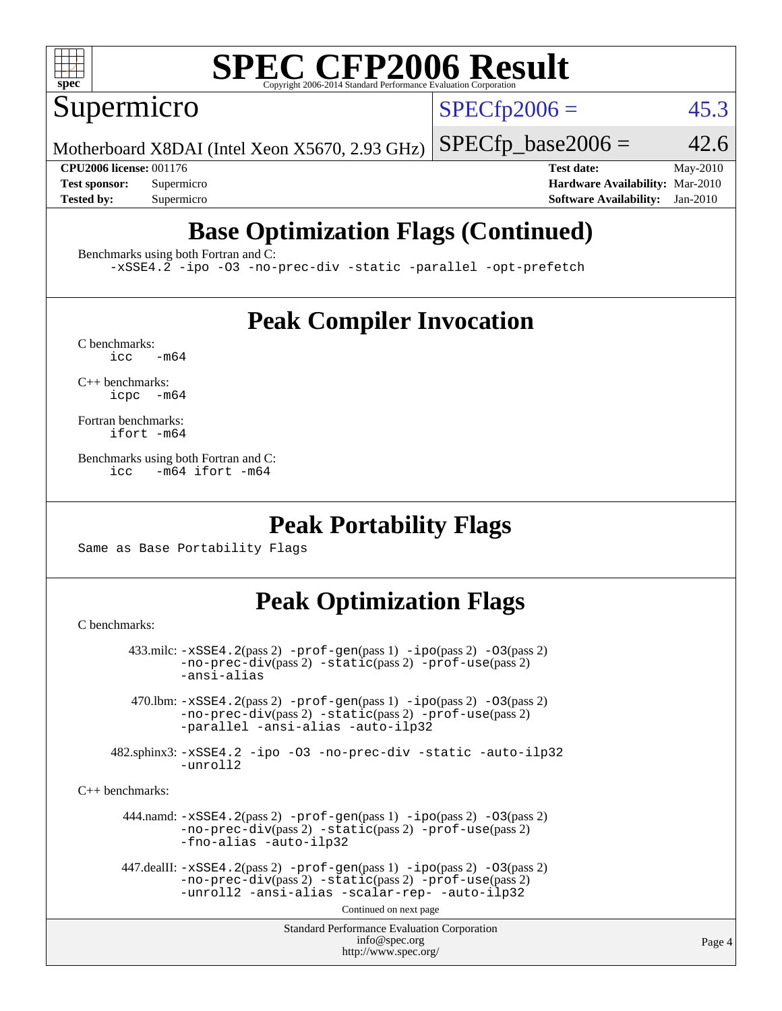

Supermicro

 $SPECTp2006 = 45.3$ 

Motherboard X8DAI (Intel Xeon X5670, 2.93 GHz)

 $SPECTp\_base2006 = 42.6$ **[CPU2006 license:](http://www.spec.org/auto/cpu2006/Docs/result-fields.html#CPU2006license)** 001176 **[Test date:](http://www.spec.org/auto/cpu2006/Docs/result-fields.html#Testdate)** May-2010 **[Test sponsor:](http://www.spec.org/auto/cpu2006/Docs/result-fields.html#Testsponsor)** Supermicro **[Hardware Availability:](http://www.spec.org/auto/cpu2006/Docs/result-fields.html#HardwareAvailability)** Mar-2010

### **[Base Optimization Flags \(Continued\)](http://www.spec.org/auto/cpu2006/Docs/result-fields.html#BaseOptimizationFlags)**

**[Tested by:](http://www.spec.org/auto/cpu2006/Docs/result-fields.html#Testedby)** Supermicro **[Software Availability:](http://www.spec.org/auto/cpu2006/Docs/result-fields.html#SoftwareAvailability)** Jan-2010

[Benchmarks using both Fortran and C](http://www.spec.org/auto/cpu2006/Docs/result-fields.html#BenchmarksusingbothFortranandC):

[-xSSE4.2](http://www.spec.org/cpu2006/results/res2010q3/cpu2006-20100528-11384.flags.html#user_CC_FCbase_f-xSSE42_f91528193cf0b216347adb8b939d4107) [-ipo](http://www.spec.org/cpu2006/results/res2010q3/cpu2006-20100528-11384.flags.html#user_CC_FCbase_f-ipo) [-O3](http://www.spec.org/cpu2006/results/res2010q3/cpu2006-20100528-11384.flags.html#user_CC_FCbase_f-O3) [-no-prec-div](http://www.spec.org/cpu2006/results/res2010q3/cpu2006-20100528-11384.flags.html#user_CC_FCbase_f-no-prec-div) [-static](http://www.spec.org/cpu2006/results/res2010q3/cpu2006-20100528-11384.flags.html#user_CC_FCbase_f-static) [-parallel](http://www.spec.org/cpu2006/results/res2010q3/cpu2006-20100528-11384.flags.html#user_CC_FCbase_f-parallel) [-opt-prefetch](http://www.spec.org/cpu2006/results/res2010q3/cpu2006-20100528-11384.flags.html#user_CC_FCbase_f-opt-prefetch)

#### **[Peak Compiler Invocation](http://www.spec.org/auto/cpu2006/Docs/result-fields.html#PeakCompilerInvocation)**

 $C$  benchmarks:<br>icc  $-m64$ 

[C++ benchmarks:](http://www.spec.org/auto/cpu2006/Docs/result-fields.html#CXXbenchmarks) [icpc -m64](http://www.spec.org/cpu2006/results/res2010q3/cpu2006-20100528-11384.flags.html#user_CXXpeak_intel_icpc_64bit_bedb90c1146cab66620883ef4f41a67e)

[Fortran benchmarks](http://www.spec.org/auto/cpu2006/Docs/result-fields.html#Fortranbenchmarks): [ifort -m64](http://www.spec.org/cpu2006/results/res2010q3/cpu2006-20100528-11384.flags.html#user_FCpeak_intel_ifort_64bit_ee9d0fb25645d0210d97eb0527dcc06e)

[Benchmarks using both Fortran and C](http://www.spec.org/auto/cpu2006/Docs/result-fields.html#BenchmarksusingbothFortranandC): [icc -m64](http://www.spec.org/cpu2006/results/res2010q3/cpu2006-20100528-11384.flags.html#user_CC_FCpeak_intel_icc_64bit_0b7121f5ab7cfabee23d88897260401c) [ifort -m64](http://www.spec.org/cpu2006/results/res2010q3/cpu2006-20100528-11384.flags.html#user_CC_FCpeak_intel_ifort_64bit_ee9d0fb25645d0210d97eb0527dcc06e)

#### **[Peak Portability Flags](http://www.spec.org/auto/cpu2006/Docs/result-fields.html#PeakPortabilityFlags)**

Same as Base Portability Flags

### **[Peak Optimization Flags](http://www.spec.org/auto/cpu2006/Docs/result-fields.html#PeakOptimizationFlags)**

[C benchmarks](http://www.spec.org/auto/cpu2006/Docs/result-fields.html#Cbenchmarks):

```
Standard Performance Evaluation Corporation
                                           info@spec.org
                                         http://www.spec.org/
        433.milc: -xSSE4.2(pass 2) -prof-gen(pass 1) -ipo(pass 2) -O3(pass 2)
                -no-prec-div(pass 2) -static(pass 2) -prof-use(pass 2)
                -ansi-alias
         470.lbm: -xSSE4.2(pass 2) -prof-gen(pass 1) -ipo(pass 2) -O3(pass 2)
                -no-prec-div(pass 2) -static(pass 2) -prof-use(pass 2)
                -parallel -ansi-alias -auto-ilp32
      482.sphinx3: -xSSE4.2 -ipo -O3 -no-prec-div -static -auto-ilp32
                -unroll2
C++ benchmarks: 
        444.namd: -xSSE4.2(pass 2) -prof-gen(pass 1) -ipo(pass 2) -O3(pass 2)
                -no-prec-div(pass 2) -static(pass 2) -prof-use(pass 2)
                -fno-alias -auto-ilp32
      447.dealII: -xSSE4. 2(pass 2)-prof-gen-ipo(pass 2) -03(pass 2)
                -no-prec-div(pass 2) -static(pass 2) -prof-use(pass 2)
                -unroll2 -ansi-alias -scalar-rep- -auto-ilp32
                                         Continued on next page
```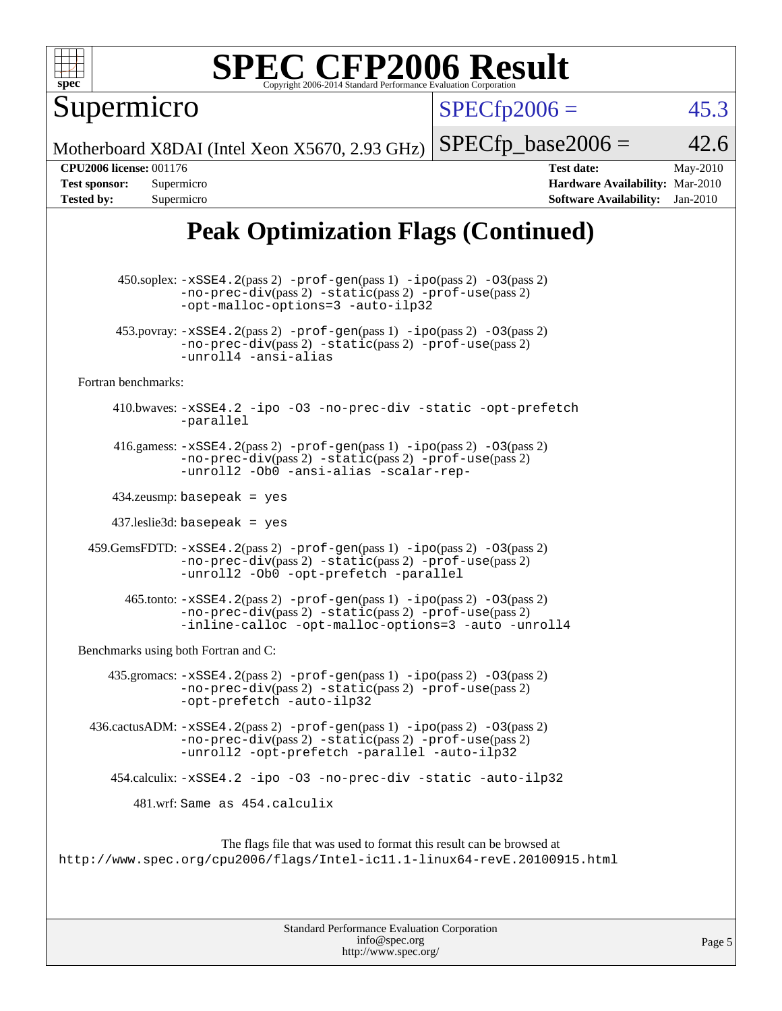

Supermicro

 $SPECTp2006 = 45.3$ 

Motherboard X8DAI (Intel Xeon X5670, 2.93 GHz)  $SPECTp\_base2006 = 42.6$ 

**[CPU2006 license:](http://www.spec.org/auto/cpu2006/Docs/result-fields.html#CPU2006license)** 001176 **[Test date:](http://www.spec.org/auto/cpu2006/Docs/result-fields.html#Testdate)** May-2010 **[Test sponsor:](http://www.spec.org/auto/cpu2006/Docs/result-fields.html#Testsponsor)** Supermicro **[Hardware Availability:](http://www.spec.org/auto/cpu2006/Docs/result-fields.html#HardwareAvailability)** Mar-2010 **[Tested by:](http://www.spec.org/auto/cpu2006/Docs/result-fields.html#Testedby)** Supermicro **[Software Availability:](http://www.spec.org/auto/cpu2006/Docs/result-fields.html#SoftwareAvailability)** Jan-2010

### **[Peak Optimization Flags \(Continued\)](http://www.spec.org/auto/cpu2006/Docs/result-fields.html#PeakOptimizationFlags)**

 450.soplex: [-xSSE4.2](http://www.spec.org/cpu2006/results/res2010q3/cpu2006-20100528-11384.flags.html#user_peakPASS2_CXXFLAGSPASS2_LDFLAGS450_soplex_f-xSSE42_f91528193cf0b216347adb8b939d4107)(pass 2) [-prof-gen](http://www.spec.org/cpu2006/results/res2010q3/cpu2006-20100528-11384.flags.html#user_peakPASS1_CXXFLAGSPASS1_LDFLAGS450_soplex_prof_gen_e43856698f6ca7b7e442dfd80e94a8fc)(pass 1) [-ipo](http://www.spec.org/cpu2006/results/res2010q3/cpu2006-20100528-11384.flags.html#user_peakPASS2_CXXFLAGSPASS2_LDFLAGS450_soplex_f-ipo)(pass 2) [-O3](http://www.spec.org/cpu2006/results/res2010q3/cpu2006-20100528-11384.flags.html#user_peakPASS2_CXXFLAGSPASS2_LDFLAGS450_soplex_f-O3)(pass 2) [-no-prec-div](http://www.spec.org/cpu2006/results/res2010q3/cpu2006-20100528-11384.flags.html#user_peakPASS2_CXXFLAGSPASS2_LDFLAGS450_soplex_f-no-prec-div)(pass 2) [-static](http://www.spec.org/cpu2006/results/res2010q3/cpu2006-20100528-11384.flags.html#user_peakPASS2_CXXFLAGSPASS2_LDFLAGS450_soplex_f-static)(pass 2) [-prof-use](http://www.spec.org/cpu2006/results/res2010q3/cpu2006-20100528-11384.flags.html#user_peakPASS2_CXXFLAGSPASS2_LDFLAGS450_soplex_prof_use_bccf7792157ff70d64e32fe3e1250b55)(pass 2) [-opt-malloc-options=3](http://www.spec.org/cpu2006/results/res2010q3/cpu2006-20100528-11384.flags.html#user_peakOPTIMIZE450_soplex_f-opt-malloc-options_13ab9b803cf986b4ee62f0a5998c2238) [-auto-ilp32](http://www.spec.org/cpu2006/results/res2010q3/cpu2006-20100528-11384.flags.html#user_peakCXXOPTIMIZE450_soplex_f-auto-ilp32) 453.povray:  $-xSSE4$ . 2(pass 2)  $-prof-gen(pass 1) -ipo(pass 2) -O3(pass 2)$  $-prof-gen(pass 1) -ipo(pass 2) -O3(pass 2)$  $-prof-gen(pass 1) -ipo(pass 2) -O3(pass 2)$  $-prof-gen(pass 1) -ipo(pass 2) -O3(pass 2)$  $-prof-gen(pass 1) -ipo(pass 2) -O3(pass 2)$  $-prof-gen(pass 1) -ipo(pass 2) -O3(pass 2)$ [-no-prec-div](http://www.spec.org/cpu2006/results/res2010q3/cpu2006-20100528-11384.flags.html#user_peakPASS2_CXXFLAGSPASS2_LDFLAGS453_povray_f-no-prec-div)(pass 2) [-static](http://www.spec.org/cpu2006/results/res2010q3/cpu2006-20100528-11384.flags.html#user_peakPASS2_CXXFLAGSPASS2_LDFLAGS453_povray_f-static)(pass 2) [-prof-use](http://www.spec.org/cpu2006/results/res2010q3/cpu2006-20100528-11384.flags.html#user_peakPASS2_CXXFLAGSPASS2_LDFLAGS453_povray_prof_use_bccf7792157ff70d64e32fe3e1250b55)(pass 2) [-unroll4](http://www.spec.org/cpu2006/results/res2010q3/cpu2006-20100528-11384.flags.html#user_peakCXXOPTIMIZE453_povray_f-unroll_4e5e4ed65b7fd20bdcd365bec371b81f) [-ansi-alias](http://www.spec.org/cpu2006/results/res2010q3/cpu2006-20100528-11384.flags.html#user_peakCXXOPTIMIZE453_povray_f-ansi-alias) [Fortran benchmarks](http://www.spec.org/auto/cpu2006/Docs/result-fields.html#Fortranbenchmarks): 410.bwaves: [-xSSE4.2](http://www.spec.org/cpu2006/results/res2010q3/cpu2006-20100528-11384.flags.html#user_peakOPTIMIZE410_bwaves_f-xSSE42_f91528193cf0b216347adb8b939d4107) [-ipo](http://www.spec.org/cpu2006/results/res2010q3/cpu2006-20100528-11384.flags.html#user_peakOPTIMIZE410_bwaves_f-ipo) [-O3](http://www.spec.org/cpu2006/results/res2010q3/cpu2006-20100528-11384.flags.html#user_peakOPTIMIZE410_bwaves_f-O3) [-no-prec-div](http://www.spec.org/cpu2006/results/res2010q3/cpu2006-20100528-11384.flags.html#user_peakOPTIMIZE410_bwaves_f-no-prec-div) [-static](http://www.spec.org/cpu2006/results/res2010q3/cpu2006-20100528-11384.flags.html#user_peakOPTIMIZE410_bwaves_f-static) [-opt-prefetch](http://www.spec.org/cpu2006/results/res2010q3/cpu2006-20100528-11384.flags.html#user_peakOPTIMIZE410_bwaves_f-opt-prefetch) [-parallel](http://www.spec.org/cpu2006/results/res2010q3/cpu2006-20100528-11384.flags.html#user_peakOPTIMIZE410_bwaves_f-parallel) 416.gamess:  $-xSSE4$ . 2(pass 2)  $-prof-gen(pass 1) -ipo(pass 2) -O3(pass 2)$  $-prof-gen(pass 1) -ipo(pass 2) -O3(pass 2)$  $-prof-gen(pass 1) -ipo(pass 2) -O3(pass 2)$  $-prof-gen(pass 1) -ipo(pass 2) -O3(pass 2)$  $-prof-gen(pass 1) -ipo(pass 2) -O3(pass 2)$  $-prof-gen(pass 1) -ipo(pass 2) -O3(pass 2)$ [-no-prec-div](http://www.spec.org/cpu2006/results/res2010q3/cpu2006-20100528-11384.flags.html#user_peakPASS2_FFLAGSPASS2_LDFLAGS416_gamess_f-no-prec-div)(pass 2) [-static](http://www.spec.org/cpu2006/results/res2010q3/cpu2006-20100528-11384.flags.html#user_peakPASS2_FFLAGSPASS2_LDFLAGS416_gamess_f-static)(pass 2) [-prof-use](http://www.spec.org/cpu2006/results/res2010q3/cpu2006-20100528-11384.flags.html#user_peakPASS2_FFLAGSPASS2_LDFLAGS416_gamess_prof_use_bccf7792157ff70d64e32fe3e1250b55)(pass 2) [-unroll2](http://www.spec.org/cpu2006/results/res2010q3/cpu2006-20100528-11384.flags.html#user_peakOPTIMIZE416_gamess_f-unroll_784dae83bebfb236979b41d2422d7ec2) [-Ob0](http://www.spec.org/cpu2006/results/res2010q3/cpu2006-20100528-11384.flags.html#user_peakOPTIMIZE416_gamess_f-Ob_n_fbe6f6428adb7d4b74b1e99bb2444c2d) [-ansi-alias](http://www.spec.org/cpu2006/results/res2010q3/cpu2006-20100528-11384.flags.html#user_peakOPTIMIZE416_gamess_f-ansi-alias) [-scalar-rep-](http://www.spec.org/cpu2006/results/res2010q3/cpu2006-20100528-11384.flags.html#user_peakOPTIMIZE416_gamess_f-disablescalarrep_abbcad04450fb118e4809c81d83c8a1d) 434.zeusmp: basepeak = yes 437.leslie3d: basepeak = yes 459.GemsFDTD: [-xSSE4.2](http://www.spec.org/cpu2006/results/res2010q3/cpu2006-20100528-11384.flags.html#user_peakPASS2_FFLAGSPASS2_LDFLAGS459_GemsFDTD_f-xSSE42_f91528193cf0b216347adb8b939d4107)(pass 2) [-prof-gen](http://www.spec.org/cpu2006/results/res2010q3/cpu2006-20100528-11384.flags.html#user_peakPASS1_FFLAGSPASS1_LDFLAGS459_GemsFDTD_prof_gen_e43856698f6ca7b7e442dfd80e94a8fc)(pass 1) [-ipo](http://www.spec.org/cpu2006/results/res2010q3/cpu2006-20100528-11384.flags.html#user_peakPASS2_FFLAGSPASS2_LDFLAGS459_GemsFDTD_f-ipo)(pass 2) [-O3](http://www.spec.org/cpu2006/results/res2010q3/cpu2006-20100528-11384.flags.html#user_peakPASS2_FFLAGSPASS2_LDFLAGS459_GemsFDTD_f-O3)(pass 2) [-no-prec-div](http://www.spec.org/cpu2006/results/res2010q3/cpu2006-20100528-11384.flags.html#user_peakPASS2_FFLAGSPASS2_LDFLAGS459_GemsFDTD_f-no-prec-div)(pass 2) [-static](http://www.spec.org/cpu2006/results/res2010q3/cpu2006-20100528-11384.flags.html#user_peakPASS2_FFLAGSPASS2_LDFLAGS459_GemsFDTD_f-static)(pass 2) [-prof-use](http://www.spec.org/cpu2006/results/res2010q3/cpu2006-20100528-11384.flags.html#user_peakPASS2_FFLAGSPASS2_LDFLAGS459_GemsFDTD_prof_use_bccf7792157ff70d64e32fe3e1250b55)(pass 2) [-unroll2](http://www.spec.org/cpu2006/results/res2010q3/cpu2006-20100528-11384.flags.html#user_peakOPTIMIZE459_GemsFDTD_f-unroll_784dae83bebfb236979b41d2422d7ec2) [-Ob0](http://www.spec.org/cpu2006/results/res2010q3/cpu2006-20100528-11384.flags.html#user_peakOPTIMIZE459_GemsFDTD_f-Ob_n_fbe6f6428adb7d4b74b1e99bb2444c2d) [-opt-prefetch](http://www.spec.org/cpu2006/results/res2010q3/cpu2006-20100528-11384.flags.html#user_peakOPTIMIZE459_GemsFDTD_f-opt-prefetch) [-parallel](http://www.spec.org/cpu2006/results/res2010q3/cpu2006-20100528-11384.flags.html#user_peakOPTIMIZE459_GemsFDTD_f-parallel)  $465$ .tonto:  $-xSSE4$ .  $2(pass 2)$  [-prof-gen](http://www.spec.org/cpu2006/results/res2010q3/cpu2006-20100528-11384.flags.html#user_peakPASS1_FFLAGSPASS1_LDFLAGS465_tonto_prof_gen_e43856698f6ca7b7e442dfd80e94a8fc)(pass 1) [-ipo](http://www.spec.org/cpu2006/results/res2010q3/cpu2006-20100528-11384.flags.html#user_peakPASS2_FFLAGSPASS2_LDFLAGS465_tonto_f-ipo)(pass 2) -03(pass 2) [-no-prec-div](http://www.spec.org/cpu2006/results/res2010q3/cpu2006-20100528-11384.flags.html#user_peakPASS2_FFLAGSPASS2_LDFLAGS465_tonto_f-no-prec-div)(pass 2) [-static](http://www.spec.org/cpu2006/results/res2010q3/cpu2006-20100528-11384.flags.html#user_peakPASS2_FFLAGSPASS2_LDFLAGS465_tonto_f-static)(pass 2) [-prof-use](http://www.spec.org/cpu2006/results/res2010q3/cpu2006-20100528-11384.flags.html#user_peakPASS2_FFLAGSPASS2_LDFLAGS465_tonto_prof_use_bccf7792157ff70d64e32fe3e1250b55)(pass 2) [-inline-calloc](http://www.spec.org/cpu2006/results/res2010q3/cpu2006-20100528-11384.flags.html#user_peakOPTIMIZE465_tonto_f-inline-calloc) [-opt-malloc-options=3](http://www.spec.org/cpu2006/results/res2010q3/cpu2006-20100528-11384.flags.html#user_peakOPTIMIZE465_tonto_f-opt-malloc-options_13ab9b803cf986b4ee62f0a5998c2238) [-auto](http://www.spec.org/cpu2006/results/res2010q3/cpu2006-20100528-11384.flags.html#user_peakOPTIMIZE465_tonto_f-auto) [-unroll4](http://www.spec.org/cpu2006/results/res2010q3/cpu2006-20100528-11384.flags.html#user_peakOPTIMIZE465_tonto_f-unroll_4e5e4ed65b7fd20bdcd365bec371b81f) [Benchmarks using both Fortran and C](http://www.spec.org/auto/cpu2006/Docs/result-fields.html#BenchmarksusingbothFortranandC): 435.gromacs:  $-xSSE4$ . 2(pass 2)  $-prof-gen(pass 1) -ipo(pass 2) -O3(pass 2)$  $-prof-gen(pass 1) -ipo(pass 2) -O3(pass 2)$  $-prof-gen(pass 1) -ipo(pass 2) -O3(pass 2)$  $-prof-gen(pass 1) -ipo(pass 2) -O3(pass 2)$  $-prof-gen(pass 1) -ipo(pass 2) -O3(pass 2)$  $-prof-gen(pass 1) -ipo(pass 2) -O3(pass 2)$ [-no-prec-div](http://www.spec.org/cpu2006/results/res2010q3/cpu2006-20100528-11384.flags.html#user_peakPASS2_CFLAGSPASS2_FFLAGSPASS2_LDFLAGS435_gromacs_f-no-prec-div)(pass 2) [-static](http://www.spec.org/cpu2006/results/res2010q3/cpu2006-20100528-11384.flags.html#user_peakPASS2_CFLAGSPASS2_FFLAGSPASS2_LDFLAGS435_gromacs_f-static)(pass 2) [-prof-use](http://www.spec.org/cpu2006/results/res2010q3/cpu2006-20100528-11384.flags.html#user_peakPASS2_CFLAGSPASS2_FFLAGSPASS2_LDFLAGS435_gromacs_prof_use_bccf7792157ff70d64e32fe3e1250b55)(pass 2) [-opt-prefetch](http://www.spec.org/cpu2006/results/res2010q3/cpu2006-20100528-11384.flags.html#user_peakOPTIMIZE435_gromacs_f-opt-prefetch) [-auto-ilp32](http://www.spec.org/cpu2006/results/res2010q3/cpu2006-20100528-11384.flags.html#user_peakCOPTIMIZE435_gromacs_f-auto-ilp32) 436.cactusADM: [-xSSE4.2](http://www.spec.org/cpu2006/results/res2010q3/cpu2006-20100528-11384.flags.html#user_peakPASS2_CFLAGSPASS2_FFLAGSPASS2_LDFLAGS436_cactusADM_f-xSSE42_f91528193cf0b216347adb8b939d4107)(pass 2) [-prof-gen](http://www.spec.org/cpu2006/results/res2010q3/cpu2006-20100528-11384.flags.html#user_peakPASS1_CFLAGSPASS1_FFLAGSPASS1_LDFLAGS436_cactusADM_prof_gen_e43856698f6ca7b7e442dfd80e94a8fc)(pass 1) [-ipo](http://www.spec.org/cpu2006/results/res2010q3/cpu2006-20100528-11384.flags.html#user_peakPASS2_CFLAGSPASS2_FFLAGSPASS2_LDFLAGS436_cactusADM_f-ipo)(pass 2) [-O3](http://www.spec.org/cpu2006/results/res2010q3/cpu2006-20100528-11384.flags.html#user_peakPASS2_CFLAGSPASS2_FFLAGSPASS2_LDFLAGS436_cactusADM_f-O3)(pass 2) [-no-prec-div](http://www.spec.org/cpu2006/results/res2010q3/cpu2006-20100528-11384.flags.html#user_peakPASS2_CFLAGSPASS2_FFLAGSPASS2_LDFLAGS436_cactusADM_f-no-prec-div)(pass 2) [-static](http://www.spec.org/cpu2006/results/res2010q3/cpu2006-20100528-11384.flags.html#user_peakPASS2_CFLAGSPASS2_FFLAGSPASS2_LDFLAGS436_cactusADM_f-static)(pass 2) [-prof-use](http://www.spec.org/cpu2006/results/res2010q3/cpu2006-20100528-11384.flags.html#user_peakPASS2_CFLAGSPASS2_FFLAGSPASS2_LDFLAGS436_cactusADM_prof_use_bccf7792157ff70d64e32fe3e1250b55)(pass 2) [-unroll2](http://www.spec.org/cpu2006/results/res2010q3/cpu2006-20100528-11384.flags.html#user_peakOPTIMIZE436_cactusADM_f-unroll_784dae83bebfb236979b41d2422d7ec2) [-opt-prefetch](http://www.spec.org/cpu2006/results/res2010q3/cpu2006-20100528-11384.flags.html#user_peakOPTIMIZE436_cactusADM_f-opt-prefetch) [-parallel](http://www.spec.org/cpu2006/results/res2010q3/cpu2006-20100528-11384.flags.html#user_peakOPTIMIZE436_cactusADM_f-parallel) [-auto-ilp32](http://www.spec.org/cpu2006/results/res2010q3/cpu2006-20100528-11384.flags.html#user_peakCOPTIMIZE436_cactusADM_f-auto-ilp32) 454.calculix: [-xSSE4.2](http://www.spec.org/cpu2006/results/res2010q3/cpu2006-20100528-11384.flags.html#user_peakOPTIMIZE454_calculix_f-xSSE42_f91528193cf0b216347adb8b939d4107) [-ipo](http://www.spec.org/cpu2006/results/res2010q3/cpu2006-20100528-11384.flags.html#user_peakOPTIMIZE454_calculix_f-ipo) [-O3](http://www.spec.org/cpu2006/results/res2010q3/cpu2006-20100528-11384.flags.html#user_peakOPTIMIZE454_calculix_f-O3) [-no-prec-div](http://www.spec.org/cpu2006/results/res2010q3/cpu2006-20100528-11384.flags.html#user_peakOPTIMIZE454_calculix_f-no-prec-div) [-static](http://www.spec.org/cpu2006/results/res2010q3/cpu2006-20100528-11384.flags.html#user_peakOPTIMIZE454_calculix_f-static) [-auto-ilp32](http://www.spec.org/cpu2006/results/res2010q3/cpu2006-20100528-11384.flags.html#user_peakCOPTIMIZE454_calculix_f-auto-ilp32) 481.wrf: Same as 454.calculix The flags file that was used to format this result can be browsed at

<http://www.spec.org/cpu2006/flags/Intel-ic11.1-linux64-revE.20100915.html>